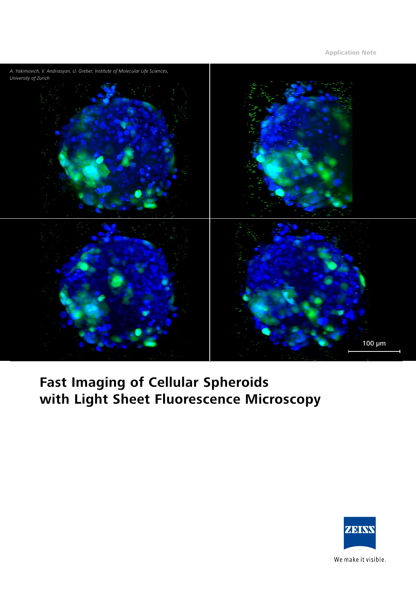

# **Fast Imaging of Cellular Spheroids with Light Sheet Fluorescence Microscopy**



We make it visible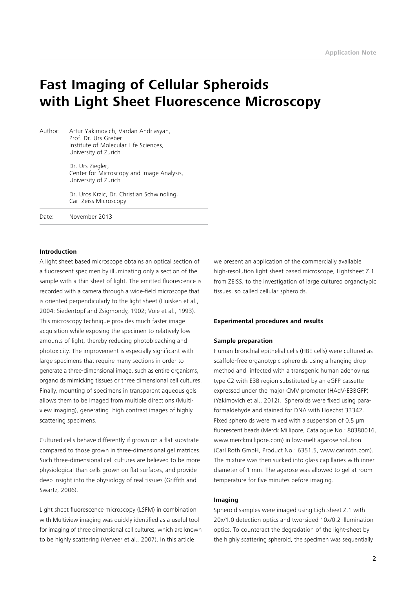## **Fast Imaging of Cellular Spheroids with Light Sheet Fluorescence Microscopy**

Author: Artur Yakimovich, Vardan Andriasyan, Prof. Dr. Urs Greber Institute of Molecular Life Sciences, University of Zurich

> Dr. Urs Ziegler, Center for Microscopy and Image Analysis, University of Zurich

 Dr. Uros Krzic, Dr. Christian Schwindling, Carl Zeiss Microscopy

Date: November 2013

#### **Introduction**

A light sheet based microscope obtains an optical section of a fluorescent specimen by illuminating only a section of the sample with a thin sheet of light. The emitted fluorescence is recorded with a camera through a wide-field microscope that is oriented perpendicularly to the light sheet (Huisken et al., 2004; Siedentopf and Zsigmondy, 1902; Voie et al., 1993). This microscopy technique provides much faster image acquisition while exposing the specimen to relatively low amounts of light, thereby reducing photobleaching and photoxicity. The improvement is especially significant with large specimens that require many sections in order to generate a three-dimensional image, such as entire organisms, organoids mimicking tissues or three dimensional cell cultures. Finally, mounting of specimens in transparent aqueous gels allows them to be imaged from multiple directions (Multiview imaging), generating high contrast images of highly scattering specimens.

Cultured cells behave differently if grown on a flat substrate compared to those grown in three-dimensional gel matrices. Such three-dimensional cell cultures are believed to be more physiological than cells grown on flat surfaces, and provide deep insight into the physiology of real tissues (Griffith and Swartz, 2006).

Light sheet fluorescence microscopy (LSFM) in combination with Multiview imaging was quickly identified as a useful tool for imaging of three dimensional cell cultures, which are known to be highly scattering (Verveer et al., 2007). In this article

we present an application of the commercially available high-resolution light sheet based microscope, Lightsheet Z.1 from ZEISS, to the investigation of large cultured organotypic tissues, so called cellular spheroids.

#### **Experimental procedures and results**

#### **Sample preparation**

Human bronchial epithelial cells (HBE cells) were cultured as scaffold-free organotypic spheroids using a hanging drop method and infected with a transgenic human adenovirus type C2 with E3B region substituted by an eGFP cassette expressed under the major CMV promoter (HAdV-E3BGFP) (Yakimovich et al., 2012). Spheroids were fixed using paraformaldehyde and stained for DNA with Hoechst 33342. Fixed spheroids were mixed with a suspension of 0.5 µm fluorescent beads (Merck Millipore, Catalogue No.: 80380016, www.merckmillipore.com) in low-melt agarose solution (Carl Roth GmbH, Product No.: 6351.5, www.carlroth.com). The mixture was then sucked into glass capillaries with inner diameter of 1 mm. The agarose was allowed to gel at room temperature for five minutes before imaging.

#### **Imaging**

Spheroid samples were imaged using Lightsheet Z.1 with 20x/1.0 detection optics and two-sided 10x/0.2 illumination optics. To counteract the degradation of the light-sheet by the highly scattering spheroid, the specimen was sequentially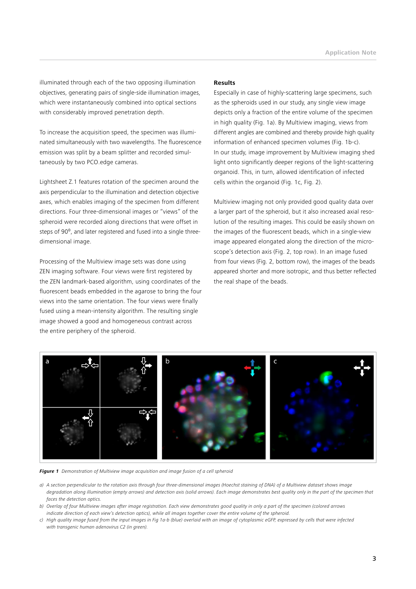illuminated through each of the two opposing illumination objectives, generating pairs of single-side illumination images, which were instantaneously combined into optical sections with considerably improved penetration depth.

To increase the acquisition speed, the specimen was illuminated simultaneously with two wavelengths. The fluorescence emission was split by a beam splitter and recorded simultaneously by two PCO.edge cameras.

Lightsheet Z.1 features rotation of the specimen around the axis perpendicular to the illumination and detection objective axes, which enables imaging of the specimen from different directions. Four three-dimensional images or "views" of the spheroid were recorded along directions that were offset in steps of 90<sup>°</sup>, and later registered and fused into a single threedimensional image.

Processing of the Multiview image sets was done using ZEN imaging software. Four views were first registered by the ZEN landmark-based algorithm, using coordinates of the fluorescent beads embedded in the agarose to bring the four views into the same orientation. The four views were finally fused using a mean-intensity algorithm. The resulting single image showed a good and homogeneous contrast across the entire periphery of the spheroid.

#### **Results**

Especially in case of highly-scattering large specimens, such as the spheroids used in our study, any single view image depicts only a fraction of the entire volume of the specimen in high quality (Fig. 1a). By Multiview imaging, views from different angles are combined and thereby provide high quality information of enhanced specimen volumes (Fig. 1b-c). In our study, image improvement by Multiview imaging shed light onto significantly deeper regions of the light-scattering organoid. This, in turn, allowed identification of infected cells within the organoid (Fig. 1c, Fig. 2).

Multiview imaging not only provided good quality data over a larger part of the spheroid, but it also increased axial resolution of the resulting images. This could be easily shown on the images of the fluorescent beads, which in a single-view image appeared elongated along the direction of the microscope's detection axis (Fig. 2, top row). In an image fused from four views (Fig. 2, bottom row), the images of the beads appeared shorter and more isotropic, and thus better reflected the real shape of the beads.



*Figure 1 Demonstration of Multiview image acquisition and image fusion of a cell spheroid*

- *a) A section perpendicular to the rotation axis through four three-dimensional images (Hoechst staining of DNA) of a Multiview dataset shows image degradation along illumination (empty arrows) and detection axis (solid arrows). Each image demonstrates best quality only in the part of the specimen that faces the detection optics.*
- *b) Overlay of four Multiview images after image registration. Each view demonstrates good quality in only a part of the specimen (colored arrows indicate direction of each view's detection optics), while all images together cover the entire volume of the spheroid.*
- *c) High quality image fused from the input images in Fig 1a-b (blue) overlaid with an image of cytoplasmic eGFP, expressed by cells that were infected with transgenic human adenovirus C2 (in green).*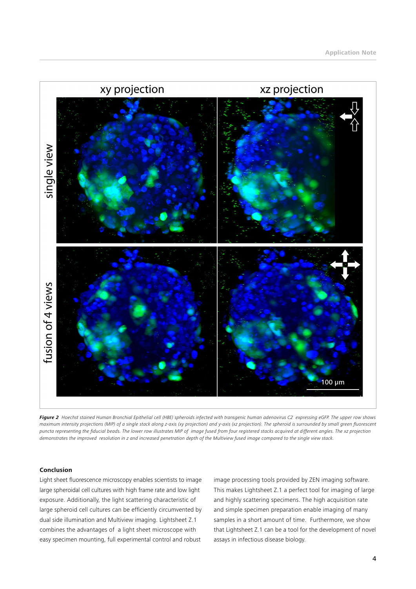

*Figure 2 Hoechst stained Human Bronchial Epithelial cell (HBE) spheroids infected with transgenic human adenovirus C2 expressing eGFP. The upper row shows maximum intensity projections (MIP) of a single stack along z-axis (xy projection) and y-axis (xz projection). The spheroid is surrounded by small green fluorescent puncta representing the fiducial beads. The lower row illustrates MIP of image fused from four registered stacks acquired at different angles. The xz projection demonstrates the improved resolution in z and increased penetration depth of the Multiview fused image compared to the single view stack.* 

### **Conclusion**

Light sheet fluorescence microscopy enables scientists to image large spheroidal cell cultures with high frame rate and low light exposure. Additionally, the light scattering characteristic of large spheroid cell cultures can be efficiently circumvented by dual side illumination and Multiview imaging. Lightsheet Z.1 combines the advantages of a light sheet microscope with easy specimen mounting, full experimental control and robust

image processing tools provided by ZEN imaging software. This makes Lightsheet Z.1 a perfect tool for imaging of large and highly scattering specimens. The high acquisition rate and simple specimen preparation enable imaging of many samples in a short amount of time. Furthermore, we show that Lightsheet Z.1 can be a tool for the development of novel assays in infectious disease biology.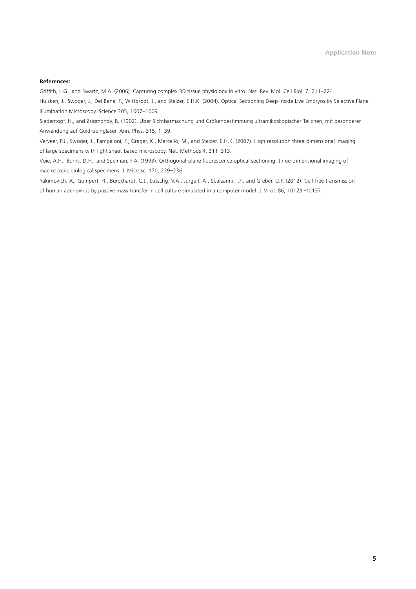#### **References:**

Griffith, L.G., and Swartz, M.A. (2006). Capturing complex 3D tissue physiology in vitro. Nat. Rev. Mol. Cell Biol. 7, 211–224.

Huisken, J., Swoger, J., Del Bene, F., Wittbrodt, J., and Stelzer, E.H.K. (2004). Optical Sectioning Deep Inside Live Embryos by Selective Plane Illumination Microscopy. Science 305, 1007–1009.

Siedentopf, H., and Zsigmondy, R. (1902). Über Sichtbarmachung und Größenbestimmung ultramikoskopischer Teilchen, mit besonderer Anwendung auf Goldrubingläser. Ann. Phys. 315, 1–39.

Verveer, P.J., Swoger, J., Pampaloni, F., Greger, K., Marcello, M., and Stelzer, E.H.K. (2007). High-resolution three-dimensional imaging of large specimens with light sheet-based microscopy. Nat. Methods 4, 311–313.

Voie, A.H., Burns, D.H., and Spelman, F.A. (1993). Orthogonal-plane fluorescence optical sectioning: three-dimensional imaging of macroscopic biological specimens. J. Microsc. 170, 229–236.

Yakimovich, A., Gumpert, H., Burckhardt, C.J., Lütschg, V.A., Jurgeit, A., Sbalzarini, I.F., and Greber, U.F. (2012). Cell-free transmission of human adenovirus by passive mass transfer in cell culture simulated in a computer model. J. Virol. 86, 10123 -10137.